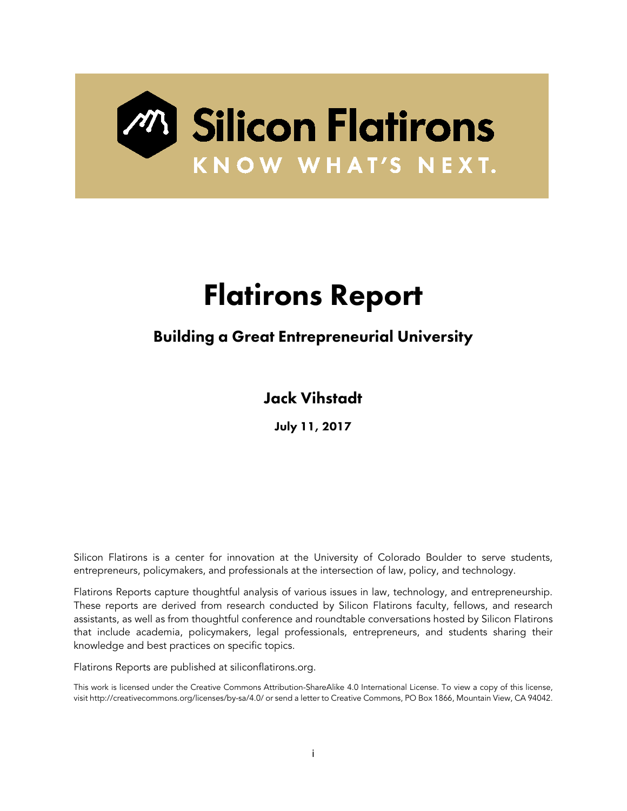

# Flatirons Report

# Building a Great Entrepreneurial University

Jack Vihstadt

July 11, 2017

Silicon Flatirons is a center for innovation at the University of Colorado Boulder to serve students, entrepreneurs, policymakers, and professionals at the intersection of law, policy, and technology.

Flatirons Reports capture thoughtful analysis of various issues in law, technology, and entrepreneurship. These reports are derived from research conducted by Silicon Flatirons faculty, fellows, and research assistants, as well as from thoughtful conference and roundtable conversations hosted by Silicon Flatirons that include academia, policymakers, legal professionals, entrepreneurs, and students sharing their knowledge and best practices on specific topics.

Flatirons Reports are published at siliconflatirons.org.

This work is licensed under the Creative Commons Attribution-ShareAlike 4.0 International License. To view a copy of this license, visi[t http://creativecommons.org/licenses/by-sa/4.0/](http://creativecommons.org/licenses/by-sa/4.0/) or send a letter to Creative Commons, PO Box 1866, Mountain View, CA 94042.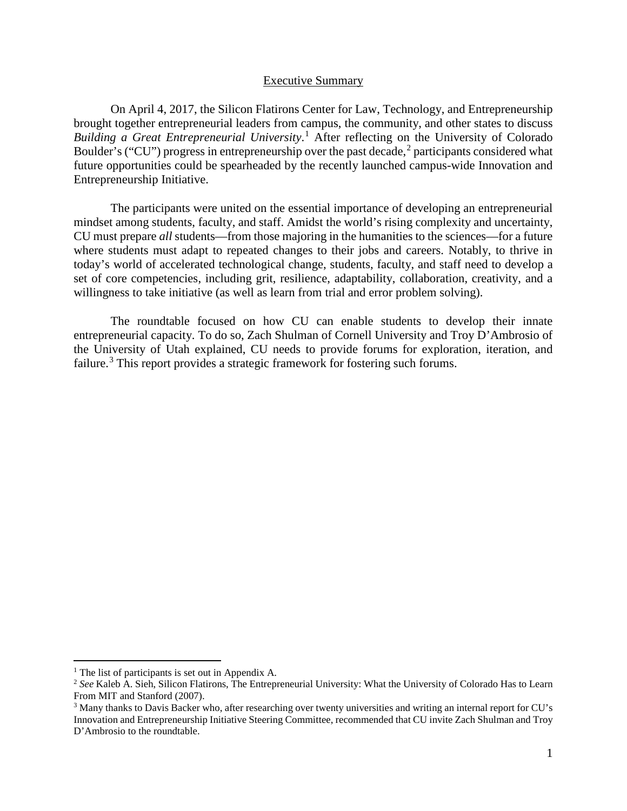#### Executive Summary

On April 4, 2017, the Silicon Flatirons Center for Law, Technology, and Entrepreneurship brought together entrepreneurial leaders from campus, the community, and other states to discuss *Building a Great Entrepreneurial University*. [1](#page-1-0) After reflecting on the University of Colorado Boulder's ("CU") progress in entrepreneurship over the past decade,  $2$  participants considered what future opportunities could be spearheaded by the recently launched campus-wide Innovation and Entrepreneurship Initiative.

The participants were united on the essential importance of developing an entrepreneurial mindset among students, faculty, and staff. Amidst the world's rising complexity and uncertainty, CU must prepare *all* students—from those majoring in the humanities to the sciences—for a future where students must adapt to repeated changes to their jobs and careers. Notably, to thrive in today's world of accelerated technological change, students, faculty, and staff need to develop a set of core competencies, including grit, resilience, adaptability, collaboration, creativity, and a willingness to take initiative (as well as learn from trial and error problem solving).

The roundtable focused on how CU can enable students to develop their innate entrepreneurial capacity. To do so, Zach Shulman of Cornell University and Troy D'Ambrosio of the University of Utah explained, CU needs to provide forums for exploration, iteration, and failure.<sup>[3](#page-1-2)</sup> This report provides a strategic framework for fostering such forums.

<span id="page-1-0"></span><sup>&</sup>lt;sup>1</sup> The list of participants is set out in Appendix A.

<span id="page-1-1"></span><sup>2</sup> *See* Kaleb A. Sieh, Silicon Flatirons, The Entrepreneurial University: What the University of Colorado Has to Learn From MIT and Stanford (2007).

<span id="page-1-2"></span><sup>3</sup> Many thanks to Davis Backer who, after researching over twenty universities and writing an internal report for CU's Innovation and Entrepreneurship Initiative Steering Committee, recommended that CU invite Zach Shulman and Troy D'Ambrosio to the roundtable.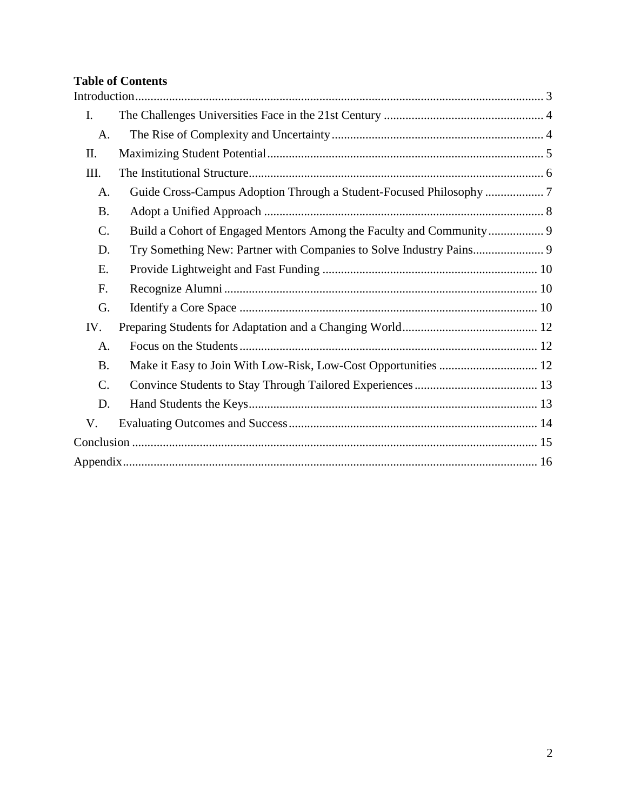# **Table of Contents**

| Ι.              |                                                                     |
|-----------------|---------------------------------------------------------------------|
| A.              |                                                                     |
| II.             |                                                                     |
| III.            |                                                                     |
| A.              |                                                                     |
| <b>B.</b>       |                                                                     |
| $\mathcal{C}$ . | Build a Cohort of Engaged Mentors Among the Faculty and Community 9 |
| D.              |                                                                     |
| Ε.              |                                                                     |
| F.              |                                                                     |
| G.              |                                                                     |
| IV.             |                                                                     |
| A.              |                                                                     |
| <b>B.</b>       |                                                                     |
| $\mathcal{C}$ . |                                                                     |
| D.              |                                                                     |
| V.              |                                                                     |
|                 |                                                                     |
|                 |                                                                     |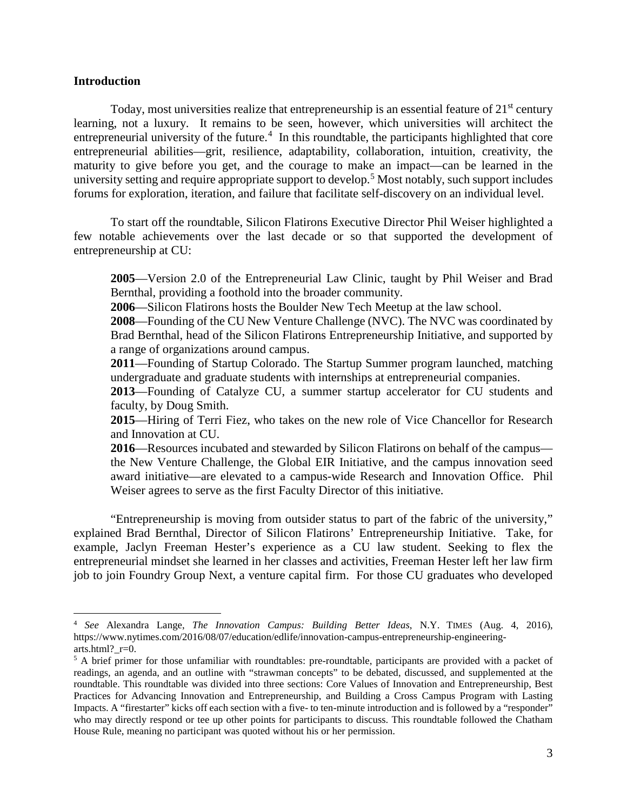#### <span id="page-3-0"></span>**Introduction**

Today, most universities realize that entrepreneurship is an essential feature of  $21<sup>st</sup>$  century learning, not a luxury. It remains to be seen, however, which universities will architect the entrepreneurial university of the future.<sup>[4](#page-3-1)</sup> In this roundtable, the participants highlighted that core entrepreneurial abilities—grit, resilience, adaptability, collaboration, intuition, creativity, the maturity to give before you get, and the courage to make an impact—can be learned in the university setting and require appropriate support to develop. [5](#page-3-2) Most notably, such support includes forums for exploration, iteration, and failure that facilitate self-discovery on an individual level.

To start off the roundtable, Silicon Flatirons Executive Director Phil Weiser highlighted a few notable achievements over the last decade or so that supported the development of entrepreneurship at CU:

**2005**—Version 2.0 of the Entrepreneurial Law Clinic, taught by Phil Weiser and Brad Bernthal, providing a foothold into the broader community.

**2006**—Silicon Flatirons hosts the Boulder New Tech Meetup at the law school.

**2008**—Founding of the CU New Venture Challenge (NVC). The NVC was coordinated by Brad Bernthal, head of the Silicon Flatirons Entrepreneurship Initiative, and supported by a range of organizations around campus.

**2011**—Founding of Startup Colorado. The Startup Summer program launched, matching undergraduate and graduate students with internships at entrepreneurial companies.

**2013**—Founding of Catalyze CU, a summer startup accelerator for CU students and faculty, by Doug Smith.

**2015**—Hiring of Terri Fiez, who takes on the new role of Vice Chancellor for Research and Innovation at CU.

**2016**—Resources incubated and stewarded by Silicon Flatirons on behalf of the campus the New Venture Challenge, the Global EIR Initiative, and the campus innovation seed award initiative—are elevated to a campus-wide Research and Innovation Office. Phil Weiser agrees to serve as the first Faculty Director of this initiative.

"Entrepreneurship is moving from outsider status to part of the fabric of the university," explained Brad Bernthal, Director of Silicon Flatirons' Entrepreneurship Initiative. Take, for example, Jaclyn Freeman Hester's experience as a CU law student. Seeking to flex the entrepreneurial mindset she learned in her classes and activities, Freeman Hester left her law firm job to join Foundry Group Next, a venture capital firm. For those CU graduates who developed

<span id="page-3-1"></span> <sup>4</sup> *See* Alexandra Lange, *The Innovation Campus: Building Better Ideas*, N.Y. TIMES (Aug. 4, 2016), https://www.nytimes.com/2016/08/07/education/edlife/innovation-campus-entrepreneurship-engineeringarts.html? $r=0$ .

<span id="page-3-2"></span><sup>5</sup> A brief primer for those unfamiliar with roundtables: pre-roundtable, participants are provided with a packet of readings, an agenda, and an outline with "strawman concepts" to be debated, discussed, and supplemented at the roundtable. This roundtable was divided into three sections: Core Values of Innovation and Entrepreneurship, Best Practices for Advancing Innovation and Entrepreneurship, and Building a Cross Campus Program with Lasting Impacts. A "firestarter" kicks off each section with a five- to ten-minute introduction and is followed by a "responder" who may directly respond or tee up other points for participants to discuss. This roundtable followed the Chatham House Rule, meaning no participant was quoted without his or her permission.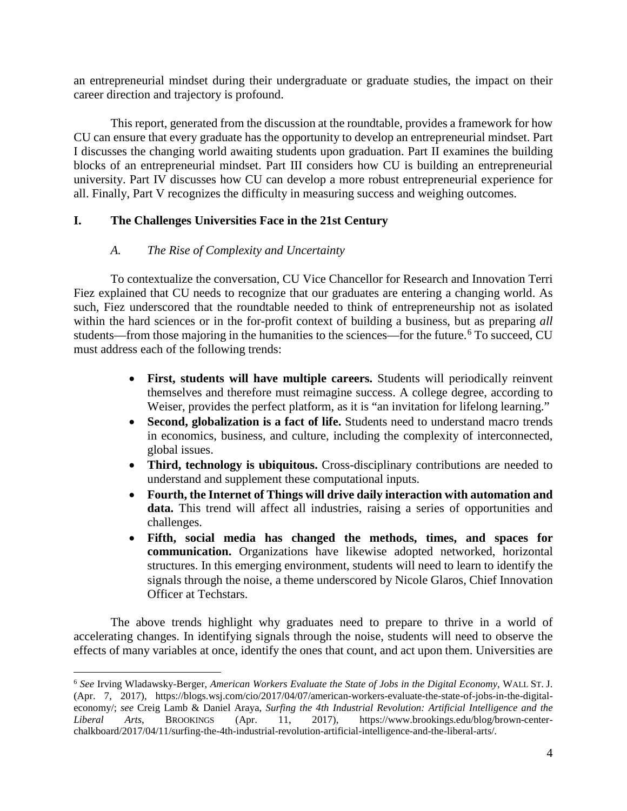an entrepreneurial mindset during their undergraduate or graduate studies, the impact on their career direction and trajectory is profound.

This report, generated from the discussion at the roundtable, provides a framework for how CU can ensure that every graduate has the opportunity to develop an entrepreneurial mindset. Part I discusses the changing world awaiting students upon graduation. Part II examines the building blocks of an entrepreneurial mindset. Part III considers how CU is building an entrepreneurial university. Part IV discusses how CU can develop a more robust entrepreneurial experience for all. Finally, Part V recognizes the difficulty in measuring success and weighing outcomes.

# <span id="page-4-1"></span><span id="page-4-0"></span>**I. The Challenges Universities Face in the 21st Century**

# *A. The Rise of Complexity and Uncertainty*

To contextualize the conversation, CU Vice Chancellor for Research and Innovation Terri Fiez explained that CU needs to recognize that our graduates are entering a changing world. As such, Fiez underscored that the roundtable needed to think of entrepreneurship not as isolated within the hard sciences or in the for-profit context of building a business, but as preparing *all* students—from those majoring in the humanities to the sciences—for the future.<sup>[6](#page-4-2)</sup> To succeed, CU must address each of the following trends:

- **First, students will have multiple careers.** Students will periodically reinvent themselves and therefore must reimagine success. A college degree, according to Weiser, provides the perfect platform, as it is "an invitation for lifelong learning."
- **Second, globalization is a fact of life.** Students need to understand macro trends in economics, business, and culture, including the complexity of interconnected, global issues.
- **Third, technology is ubiquitous.** Cross-disciplinary contributions are needed to understand and supplement these computational inputs.
- **Fourth, the Internet of Things will drive daily interaction with automation and data.** This trend will affect all industries, raising a series of opportunities and challenges.
- **Fifth, social media has changed the methods, times, and spaces for communication.** Organizations have likewise adopted networked, horizontal structures. In this emerging environment, students will need to learn to identify the signals through the noise, a theme underscored by Nicole Glaros, Chief Innovation Officer at Techstars.

The above trends highlight why graduates need to prepare to thrive in a world of accelerating changes. In identifying signals through the noise, students will need to observe the effects of many variables at once, identify the ones that count, and act upon them. Universities are

<span id="page-4-2"></span> <sup>6</sup> *See* Irving Wladawsky-Berger, *American Workers Evaluate the State of Jobs in the Digital Economy*, WALL ST. J. (Apr. 7, 2017), https://blogs.wsj.com/cio/2017/04/07/american-workers-evaluate-the-state-of-jobs-in-the-digitaleconomy/; *see* Creig Lamb & Daniel Araya, *Surfing the 4th Industrial Revolution: Artificial Intelligence and the Liberal Arts*, BROOKINGS (Apr. 11, 2017), https://www.brookings.edu/blog/brown-centerchalkboard/2017/04/11/surfing-the-4th-industrial-revolution-artificial-intelligence-and-the-liberal-arts/.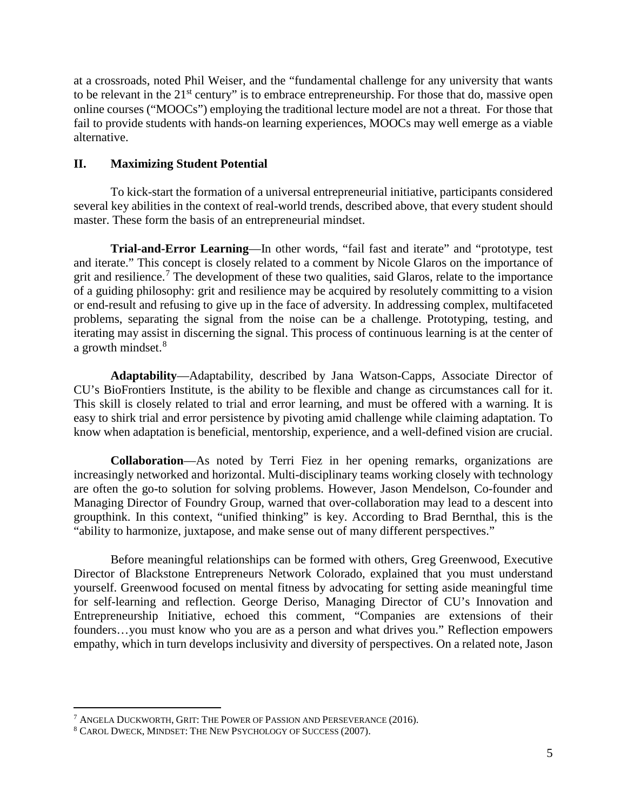at a crossroads, noted Phil Weiser, and the "fundamental challenge for any university that wants to be relevant in the  $21^{st}$  century" is to embrace entrepreneurship. For those that do, massive open online courses ("MOOCs") employing the traditional lecture model are not a threat. For those that fail to provide students with hands-on learning experiences, MOOCs may well emerge as a viable alternative.

# <span id="page-5-0"></span>**II. Maximizing Student Potential**

To kick-start the formation of a universal entrepreneurial initiative, participants considered several key abilities in the context of real-world trends, described above, that every student should master. These form the basis of an entrepreneurial mindset.

**Trial-and-Error Learning**—In other words, "fail fast and iterate" and "prototype, test and iterate." This concept is closely related to a comment by Nicole Glaros on the importance of grit and resilience.[7](#page-5-1) The development of these two qualities, said Glaros, relate to the importance of a guiding philosophy: grit and resilience may be acquired by resolutely committing to a vision or end-result and refusing to give up in the face of adversity. In addressing complex, multifaceted problems, separating the signal from the noise can be a challenge. Prototyping, testing, and iterating may assist in discerning the signal. This process of continuous learning is at the center of a growth mindset.<sup>[8](#page-5-2)</sup>

**Adaptability**—Adaptability, described by Jana Watson-Capps, Associate Director of CU's BioFrontiers Institute, is the ability to be flexible and change as circumstances call for it. This skill is closely related to trial and error learning, and must be offered with a warning. It is easy to shirk trial and error persistence by pivoting amid challenge while claiming adaptation. To know when adaptation is beneficial, mentorship, experience, and a well-defined vision are crucial.

**Collaboration**—As noted by Terri Fiez in her opening remarks, organizations are increasingly networked and horizontal. Multi-disciplinary teams working closely with technology are often the go-to solution for solving problems. However, Jason Mendelson, Co-founder and Managing Director of Foundry Group, warned that over-collaboration may lead to a descent into groupthink. In this context, "unified thinking" is key. According to Brad Bernthal, this is the "ability to harmonize, juxtapose, and make sense out of many different perspectives."

Before meaningful relationships can be formed with others, Greg Greenwood, Executive Director of Blackstone Entrepreneurs Network Colorado, explained that you must understand yourself. Greenwood focused on mental fitness by advocating for setting aside meaningful time for self-learning and reflection. George Deriso, Managing Director of CU's Innovation and Entrepreneurship Initiative, echoed this comment, "Companies are extensions of their founders…you must know who you are as a person and what drives you." Reflection empowers empathy, which in turn develops inclusivity and diversity of perspectives. On a related note, Jason

<span id="page-5-1"></span> <sup>7</sup> ANGELA DUCKWORTH, GRIT: THE POWER OF PASSION AND PERSEVERANCE (2016).

<span id="page-5-2"></span><sup>8</sup> CAROL DWECK, MINDSET: THE NEW PSYCHOLOGY OF SUCCESS (2007).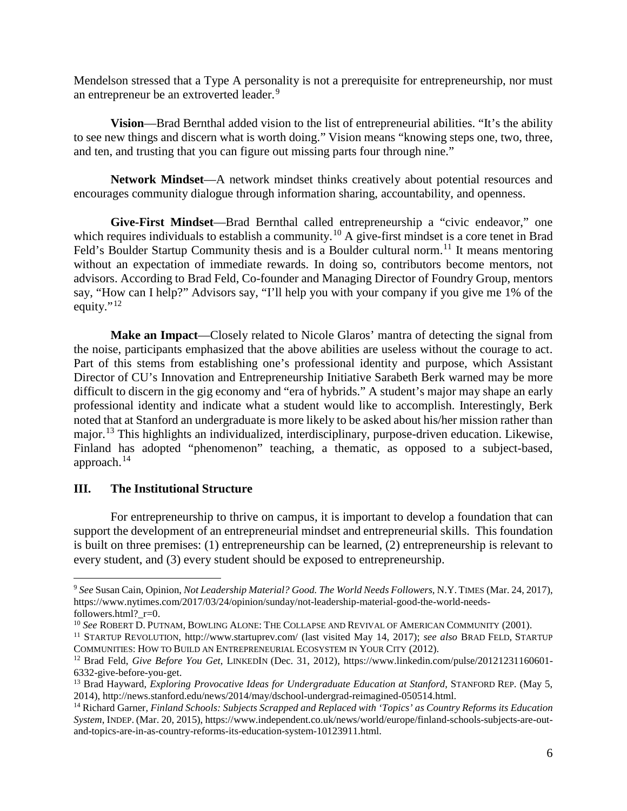Mendelson stressed that a Type A personality is not a prerequisite for entrepreneurship, nor must an entrepreneur be an extroverted leader.<sup>[9](#page-6-1)</sup>

**Vision**—Brad Bernthal added vision to the list of entrepreneurial abilities. "It's the ability to see new things and discern what is worth doing." Vision means "knowing steps one, two, three, and ten, and trusting that you can figure out missing parts four through nine."

**Network Mindset**—A network mindset thinks creatively about potential resources and encourages community dialogue through information sharing, accountability, and openness.

**Give-First Mindset**—Brad Bernthal called entrepreneurship a "civic endeavor," one which requires individuals to establish a community.<sup>[10](#page-6-2)</sup> A give-first mindset is a core tenet in Brad Feld's Boulder Startup Community thesis and is a Boulder cultural norm.<sup>[11](#page-6-3)</sup> It means mentoring without an expectation of immediate rewards. In doing so, contributors become mentors, not advisors. According to Brad Feld, Co-founder and Managing Director of Foundry Group, mentors say, "How can I help?" Advisors say, "I'll help you with your company if you give me 1% of the equity." $^{12}$  $^{12}$  $^{12}$ 

**Make an Impact**—Closely related to Nicole Glaros' mantra of detecting the signal from the noise, participants emphasized that the above abilities are useless without the courage to act. Part of this stems from establishing one's professional identity and purpose, which Assistant Director of CU's Innovation and Entrepreneurship Initiative Sarabeth Berk warned may be more difficult to discern in the gig economy and "era of hybrids." A student's major may shape an early professional identity and indicate what a student would like to accomplish. Interestingly, Berk noted that at Stanford an undergraduate is more likely to be asked about his/her mission rather than major.<sup>[13](#page-6-5)</sup> This highlights an individualized, interdisciplinary, purpose-driven education. Likewise, Finland has adopted "phenomenon" teaching, a thematic, as opposed to a subject-based, approach.[14](#page-6-6)

#### <span id="page-6-0"></span>**III. The Institutional Structure**

For entrepreneurship to thrive on campus, it is important to develop a foundation that can support the development of an entrepreneurial mindset and entrepreneurial skills. This foundation is built on three premises: (1) entrepreneurship can be learned, (2) entrepreneurship is relevant to every student, and (3) every student should be exposed to entrepreneurship.

<span id="page-6-1"></span> <sup>9</sup> *See* Susan Cain, Opinion, *Not Leadership Material? Good. The World Needs Followers*, N.Y. TIMES (Mar. 24, 2017), https://www.nytimes.com/2017/03/24/opinion/sunday/not-leadership-material-good-the-world-needs-

<span id="page-6-2"></span>followers.html?\_r=0.<br><sup>10</sup> See ROBERT D. PUTNAM, BOWLING ALONE: THE COLLAPSE AND REVIVAL OF AMERICAN COMMUNITY (2001).

<span id="page-6-3"></span><sup>&</sup>lt;sup>11</sup> STARTUP REVOLUTION, http://www.startuprev.com/ (last visited May 14, 2017); *see also* BRAD FELD, STARTUP COMMUNITIES: HOW TO BUILD AN ENTREPRENEURIAL ECOSYSTEM IN YOUR CITY (2012).

<span id="page-6-4"></span><sup>12</sup> Brad Feld, *Give Before You Get*, LINKEDIN (Dec. 31, 2012), https://www.linkedin.com/pulse/20121231160601- 6332-give-before-you-get.

<span id="page-6-5"></span><sup>13</sup> Brad Hayward, *Exploring Provocative Ideas for Undergraduate Education at Stanford*, STANFORD REP. (May 5, 2014), http://news.stanford.edu/news/2014/may/dschool-undergrad-reimagined-050514.html.

<span id="page-6-6"></span><sup>14</sup> Richard Garner, *Finland Schools: Subjects Scrapped and Replaced with 'Topics' as Country Reforms its Education System*, INDEP. (Mar. 20, 2015), https://www.independent.co.uk/news/world/europe/finland-schools-subjects-are-outand-topics-are-in-as-country-reforms-its-education-system-10123911.html.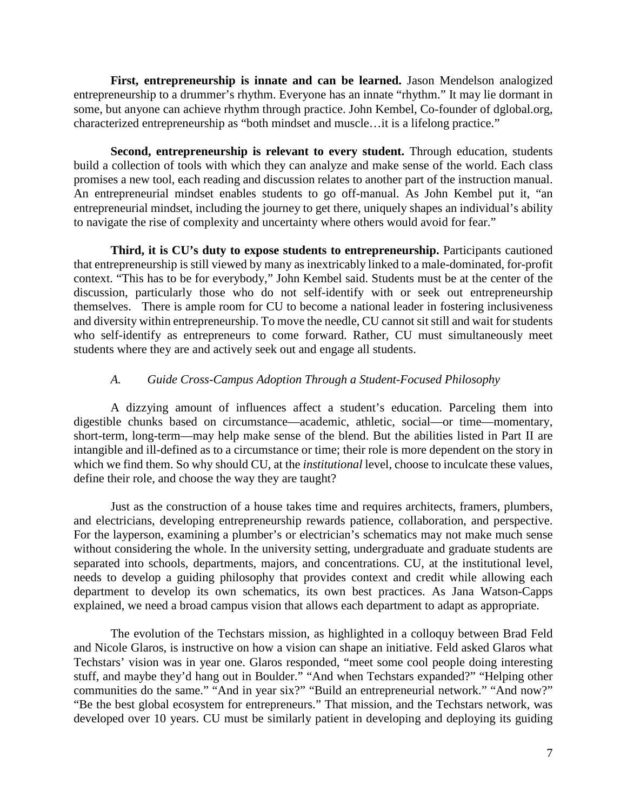**First, entrepreneurship is innate and can be learned.** Jason Mendelson analogized entrepreneurship to a drummer's rhythm. Everyone has an innate "rhythm." It may lie dormant in some, but anyone can achieve rhythm through practice. John Kembel, Co-founder of dglobal.org, characterized entrepreneurship as "both mindset and muscle…it is a lifelong practice."

**Second, entrepreneurship is relevant to every student.** Through education, students build a collection of tools with which they can analyze and make sense of the world. Each class promises a new tool, each reading and discussion relates to another part of the instruction manual. An entrepreneurial mindset enables students to go off-manual. As John Kembel put it, "an entrepreneurial mindset, including the journey to get there, uniquely shapes an individual's ability to navigate the rise of complexity and uncertainty where others would avoid for fear."

**Third, it is CU's duty to expose students to entrepreneurship.** Participants cautioned that entrepreneurship is still viewed by many as inextricably linked to a male-dominated, for-profit context. "This has to be for everybody," John Kembel said. Students must be at the center of the discussion, particularly those who do not self-identify with or seek out entrepreneurship themselves. There is ample room for CU to become a national leader in fostering inclusiveness and diversity within entrepreneurship. To move the needle, CU cannot sit still and wait for students who self-identify as entrepreneurs to come forward. Rather, CU must simultaneously meet students where they are and actively seek out and engage all students.

# *A. Guide Cross-Campus Adoption Through a Student-Focused Philosophy*

<span id="page-7-0"></span>A dizzying amount of influences affect a student's education. Parceling them into digestible chunks based on circumstance—academic, athletic, social—or time—momentary, short-term, long-term—may help make sense of the blend. But the abilities listed in Part II are intangible and ill-defined as to a circumstance or time; their role is more dependent on the story in which we find them. So why should CU, at the *institutional* level, choose to inculcate these values, define their role, and choose the way they are taught?

Just as the construction of a house takes time and requires architects, framers, plumbers, and electricians, developing entrepreneurship rewards patience, collaboration, and perspective. For the layperson, examining a plumber's or electrician's schematics may not make much sense without considering the whole. In the university setting, undergraduate and graduate students are separated into schools, departments, majors, and concentrations. CU, at the institutional level, needs to develop a guiding philosophy that provides context and credit while allowing each department to develop its own schematics, its own best practices. As Jana Watson-Capps explained, we need a broad campus vision that allows each department to adapt as appropriate.

The evolution of the Techstars mission, as highlighted in a colloquy between Brad Feld and Nicole Glaros, is instructive on how a vision can shape an initiative. Feld asked Glaros what Techstars' vision was in year one. Glaros responded, "meet some cool people doing interesting stuff, and maybe they'd hang out in Boulder." "And when Techstars expanded?" "Helping other communities do the same." "And in year six?" "Build an entrepreneurial network." "And now?" "Be the best global ecosystem for entrepreneurs." That mission, and the Techstars network, was developed over 10 years. CU must be similarly patient in developing and deploying its guiding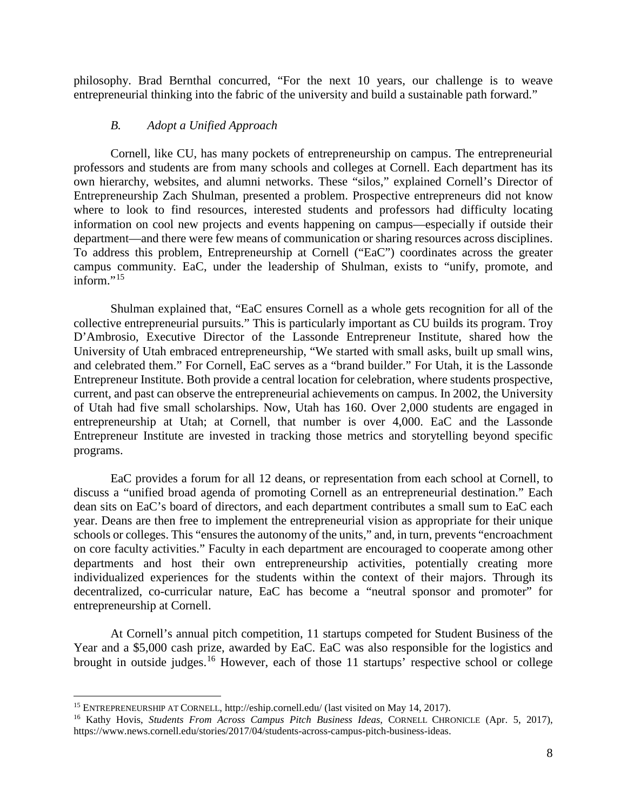philosophy. Brad Bernthal concurred, "For the next 10 years, our challenge is to weave entrepreneurial thinking into the fabric of the university and build a sustainable path forward."

#### *B. Adopt a Unified Approach*

<span id="page-8-0"></span>Cornell, like CU, has many pockets of entrepreneurship on campus. The entrepreneurial professors and students are from many schools and colleges at Cornell. Each department has its own hierarchy, websites, and alumni networks. These "silos," explained Cornell's Director of Entrepreneurship Zach Shulman, presented a problem. Prospective entrepreneurs did not know where to look to find resources, interested students and professors had difficulty locating information on cool new projects and events happening on campus—especially if outside their department—and there were few means of communication or sharing resources across disciplines. To address this problem, Entrepreneurship at Cornell ("EaC") coordinates across the greater campus community. EaC, under the leadership of Shulman, exists to "unify, promote, and inform."<sup>[15](#page-8-1)</sup>

Shulman explained that, "EaC ensures Cornell as a whole gets recognition for all of the collective entrepreneurial pursuits." This is particularly important as CU builds its program. Troy D'Ambrosio, Executive Director of the Lassonde Entrepreneur Institute, shared how the University of Utah embraced entrepreneurship, "We started with small asks, built up small wins, and celebrated them." For Cornell, EaC serves as a "brand builder." For Utah, it is the Lassonde Entrepreneur Institute. Both provide a central location for celebration, where students prospective, current, and past can observe the entrepreneurial achievements on campus. In 2002, the University of Utah had five small scholarships. Now, Utah has 160. Over 2,000 students are engaged in entrepreneurship at Utah; at Cornell, that number is over 4,000. EaC and the Lassonde Entrepreneur Institute are invested in tracking those metrics and storytelling beyond specific programs.

EaC provides a forum for all 12 deans, or representation from each school at Cornell, to discuss a "unified broad agenda of promoting Cornell as an entrepreneurial destination." Each dean sits on EaC's board of directors, and each department contributes a small sum to EaC each year. Deans are then free to implement the entrepreneurial vision as appropriate for their unique schools or colleges. This "ensures the autonomy of the units," and, in turn, prevents "encroachment on core faculty activities." Faculty in each department are encouraged to cooperate among other departments and host their own entrepreneurship activities, potentially creating more individualized experiences for the students within the context of their majors. Through its decentralized, co-curricular nature, EaC has become a "neutral sponsor and promoter" for entrepreneurship at Cornell.

At Cornell's annual pitch competition, 11 startups competed for Student Business of the Year and a \$5,000 cash prize, awarded by EaC. EaC was also responsible for the logistics and brought in outside judges.<sup>[16](#page-8-2)</sup> However, each of those 11 startups' respective school or college

<span id="page-8-1"></span> <sup>15</sup> ENTREPRENEURSHIP AT CORNELL, http://eship.cornell.edu/ (last visited on May 14, 2017).

<span id="page-8-2"></span><sup>16</sup> Kathy Hovis, *Students From Across Campus Pitch Business Ideas*, CORNELL CHRONICLE (Apr. 5, 2017), https://www.news.cornell.edu/stories/2017/04/students-across-campus-pitch-business-ideas.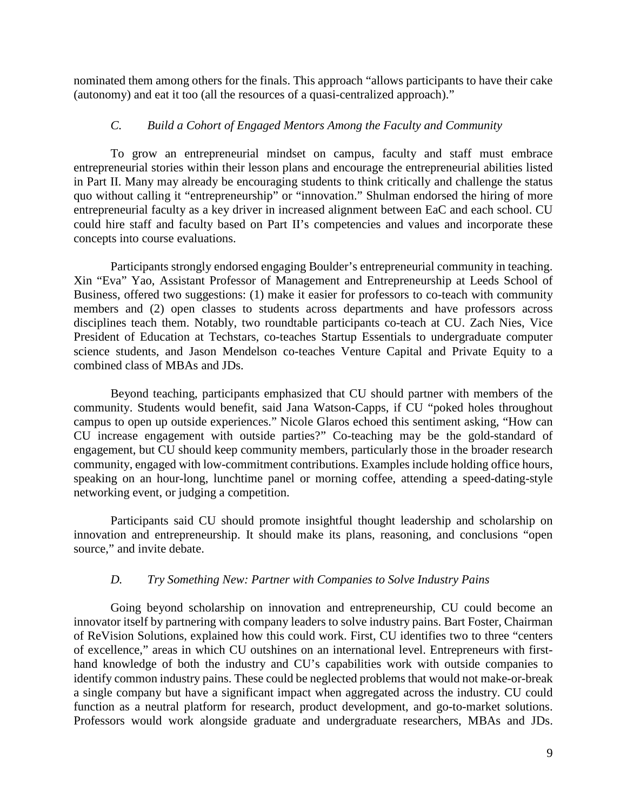nominated them among others for the finals. This approach "allows participants to have their cake (autonomy) and eat it too (all the resources of a quasi-centralized approach)."

## *C. Build a Cohort of Engaged Mentors Among the Faculty and Community*

<span id="page-9-0"></span>To grow an entrepreneurial mindset on campus, faculty and staff must embrace entrepreneurial stories within their lesson plans and encourage the entrepreneurial abilities listed in Part II. Many may already be encouraging students to think critically and challenge the status quo without calling it "entrepreneurship" or "innovation." Shulman endorsed the hiring of more entrepreneurial faculty as a key driver in increased alignment between EaC and each school. CU could hire staff and faculty based on Part II's competencies and values and incorporate these concepts into course evaluations.

Participants strongly endorsed engaging Boulder's entrepreneurial community in teaching. Xin "Eva" Yao, Assistant Professor of Management and Entrepreneurship at Leeds School of Business, offered two suggestions: (1) make it easier for professors to co-teach with community members and (2) open classes to students across departments and have professors across disciplines teach them. Notably, two roundtable participants co-teach at CU. Zach Nies, Vice President of Education at Techstars, co-teaches Startup Essentials to undergraduate computer science students, and Jason Mendelson co-teaches Venture Capital and Private Equity to a combined class of MBAs and JDs.

Beyond teaching, participants emphasized that CU should partner with members of the community. Students would benefit, said Jana Watson-Capps, if CU "poked holes throughout campus to open up outside experiences." Nicole Glaros echoed this sentiment asking, "How can CU increase engagement with outside parties?" Co-teaching may be the gold-standard of engagement, but CU should keep community members, particularly those in the broader research community, engaged with low-commitment contributions. Examples include holding office hours, speaking on an hour-long, lunchtime panel or morning coffee, attending a speed-dating-style networking event, or judging a competition.

Participants said CU should promote insightful thought leadership and scholarship on innovation and entrepreneurship. It should make its plans, reasoning, and conclusions "open source," and invite debate.

#### *D. Try Something New: Partner with Companies to Solve Industry Pains*

<span id="page-9-1"></span>Going beyond scholarship on innovation and entrepreneurship, CU could become an innovator itself by partnering with company leaders to solve industry pains. Bart Foster, Chairman of ReVision Solutions, explained how this could work. First, CU identifies two to three "centers of excellence," areas in which CU outshines on an international level. Entrepreneurs with firsthand knowledge of both the industry and CU's capabilities work with outside companies to identify common industry pains. These could be neglected problems that would not make-or-break a single company but have a significant impact when aggregated across the industry. CU could function as a neutral platform for research, product development, and go-to-market solutions. Professors would work alongside graduate and undergraduate researchers, MBAs and JDs.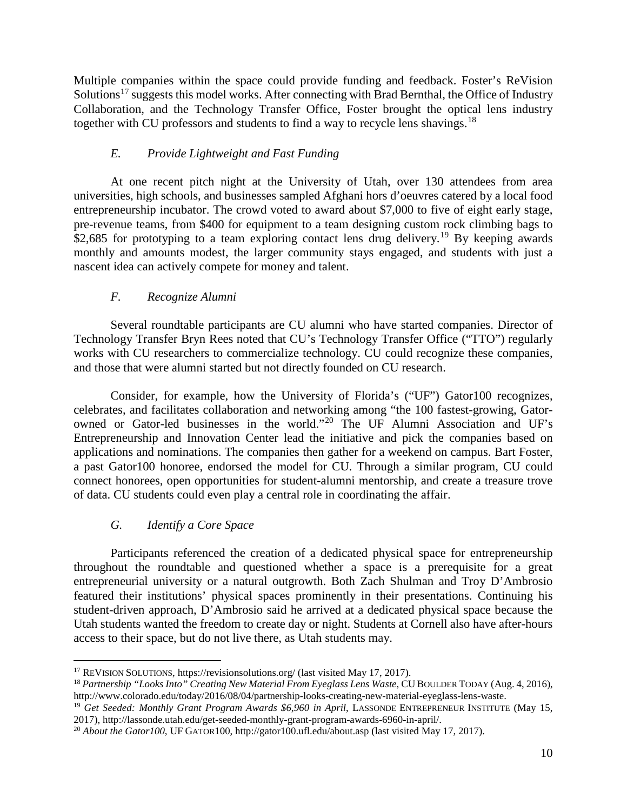Multiple companies within the space could provide funding and feedback. Foster's ReVision Solutions<sup>[17](#page-10-3)</sup> suggests this model works. After connecting with Brad Bernthal, the Office of Industry Collaboration, and the Technology Transfer Office, Foster brought the optical lens industry together with CU professors and students to find a way to recycle lens shavings.<sup>[18](#page-10-4)</sup>

# *E. Provide Lightweight and Fast Funding*

<span id="page-10-0"></span>At one recent pitch night at the University of Utah, over 130 attendees from area universities, high schools, and businesses sampled Afghani hors d'oeuvres catered by a local food entrepreneurship incubator. The crowd voted to award about \$7,000 to five of eight early stage, pre-revenue teams, from \$400 for equipment to a team designing custom rock climbing bags to \$2,685 for prototyping to a team exploring contact lens drug delivery.<sup>[19](#page-10-5)</sup> By keeping awards monthly and amounts modest, the larger community stays engaged, and students with just a nascent idea can actively compete for money and talent.

# *F. Recognize Alumni*

<span id="page-10-1"></span>Several roundtable participants are CU alumni who have started companies. Director of Technology Transfer Bryn Rees noted that CU's Technology Transfer Office ("TTO") regularly works with CU researchers to commercialize technology. CU could recognize these companies, and those that were alumni started but not directly founded on CU research.

Consider, for example, how the University of Florida's ("UF") Gator100 recognizes, celebrates, and facilitates collaboration and networking among "the 100 fastest-growing, Gatorowned or Gator-led businesses in the world."[20](#page-10-6) The UF Alumni Association and UF's Entrepreneurship and Innovation Center lead the initiative and pick the companies based on applications and nominations. The companies then gather for a weekend on campus. Bart Foster, a past Gator100 honoree, endorsed the model for CU. Through a similar program, CU could connect honorees, open opportunities for student-alumni mentorship, and create a treasure trove of data. CU students could even play a central role in coordinating the affair.

# *G. Identify a Core Space*

<span id="page-10-2"></span>Participants referenced the creation of a dedicated physical space for entrepreneurship throughout the roundtable and questioned whether a space is a prerequisite for a great entrepreneurial university or a natural outgrowth. Both Zach Shulman and Troy D'Ambrosio featured their institutions' physical spaces prominently in their presentations. Continuing his student-driven approach, D'Ambrosio said he arrived at a dedicated physical space because the Utah students wanted the freedom to create day or night. Students at Cornell also have after-hours access to their space, but do not live there, as Utah students may.

<span id="page-10-3"></span> <sup>17</sup> REVISION SOLUTIONS, https://revisionsolutions.org/ (last visited May 17, 2017).

<span id="page-10-4"></span><sup>18</sup> *Partnership "Looks Into" Creating New Material From Eyeglass Lens Waste*, CU BOULDER TODAY (Aug. 4, 2016), http://www.colorado.edu/today/2016/08/04/partnership-looks-creating-new-material-eyeglass-lens-waste.

<span id="page-10-5"></span><sup>&</sup>lt;sup>19</sup> Get Seeded: Monthly Grant Program Awards \$6,960 in April, LASSONDE ENTREPRENEUR INSTITUTE (May 15, 2017), http://lassonde.utah.edu/get-seeded-monthly-grant-program-awards-6960-in-april/.

<span id="page-10-6"></span><sup>&</sup>lt;sup>20</sup> *About the Gator100*, UF GATOR100, http://gator100.ufl.edu/about.asp (last visited May 17, 2017).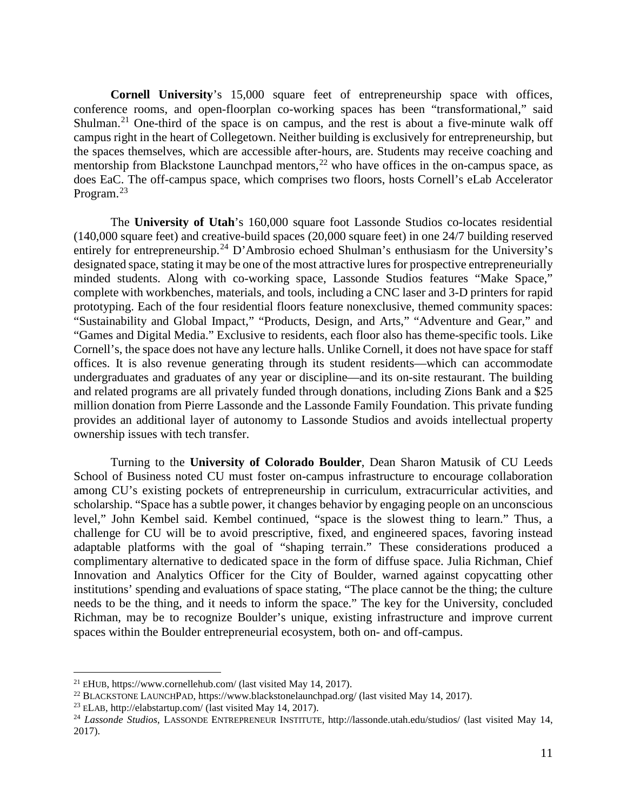**Cornell University**'s 15,000 square feet of entrepreneurship space with offices, conference rooms, and open-floorplan co-working spaces has been "transformational," said Shulman.<sup>[21](#page-11-0)</sup> One-third of the space is on campus, and the rest is about a five-minute walk off campus right in the heart of Collegetown. Neither building is exclusively for entrepreneurship, but the spaces themselves, which are accessible after-hours, are. Students may receive coaching and mentorship from Blackstone Launchpad mentors, $^{22}$  $^{22}$  $^{22}$  who have offices in the on-campus space, as does EaC. The off-campus space, which comprises two floors, hosts Cornell's eLab Accelerator Program.<sup>[23](#page-11-2)</sup>

The **University of Utah**'s 160,000 square foot Lassonde Studios co-locates residential (140,000 square feet) and creative-build spaces (20,000 square feet) in one 24/7 building reserved entirely for entrepreneurship.<sup>[24](#page-11-3)</sup> D'Ambrosio echoed Shulman's enthusiasm for the University's designated space, stating it may be one of the most attractive lures for prospective entrepreneurially minded students. Along with co-working space, Lassonde Studios features "Make Space," complete with workbenches, materials, and tools, including a CNC laser and 3-D printers for rapid prototyping. Each of the four residential floors feature nonexclusive, themed community spaces: "Sustainability and Global Impact," "Products, Design, and Arts," "Adventure and Gear," and "Games and Digital Media." Exclusive to residents, each floor also has theme-specific tools. Like Cornell's, the space does not have any lecture halls. Unlike Cornell, it does not have space for staff offices. It is also revenue generating through its student residents—which can accommodate undergraduates and graduates of any year or discipline—and its on-site restaurant. The building and related programs are all privately funded through donations, including Zions Bank and a \$25 million donation from Pierre Lassonde and the Lassonde Family Foundation. This private funding provides an additional layer of autonomy to Lassonde Studios and avoids intellectual property ownership issues with tech transfer.

Turning to the **University of Colorado Boulder**, Dean Sharon Matusik of CU Leeds School of Business noted CU must foster on-campus infrastructure to encourage collaboration among CU's existing pockets of entrepreneurship in curriculum, extracurricular activities, and scholarship. "Space has a subtle power, it changes behavior by engaging people on an unconscious level," John Kembel said. Kembel continued, "space is the slowest thing to learn." Thus, a challenge for CU will be to avoid prescriptive, fixed, and engineered spaces, favoring instead adaptable platforms with the goal of "shaping terrain." These considerations produced a complimentary alternative to dedicated space in the form of diffuse space. Julia Richman, Chief Innovation and Analytics Officer for the City of Boulder, warned against copycatting other institutions' spending and evaluations of space stating, "The place cannot be the thing; the culture needs to be the thing, and it needs to inform the space." The key for the University, concluded Richman, may be to recognize Boulder's unique, existing infrastructure and improve current spaces within the Boulder entrepreneurial ecosystem, both on- and off-campus.

<span id="page-11-0"></span> $^{21}$  EHUB, https://www.cornellehub.com/ (last visited May 14, 2017).

<span id="page-11-1"></span><sup>22</sup> BLACKSTONE LAUNCHPAD, https://www.blackstonelaunchpad.org/ (last visited May 14, 2017).

<span id="page-11-2"></span><sup>23</sup> ELAB, http://elabstartup.com/ (last visited May 14, 2017).

<span id="page-11-3"></span><sup>24</sup> *Lassonde Studios*, LASSONDE ENTREPRENEUR INSTITUTE, http://lassonde.utah.edu/studios/ (last visited May 14, 2017).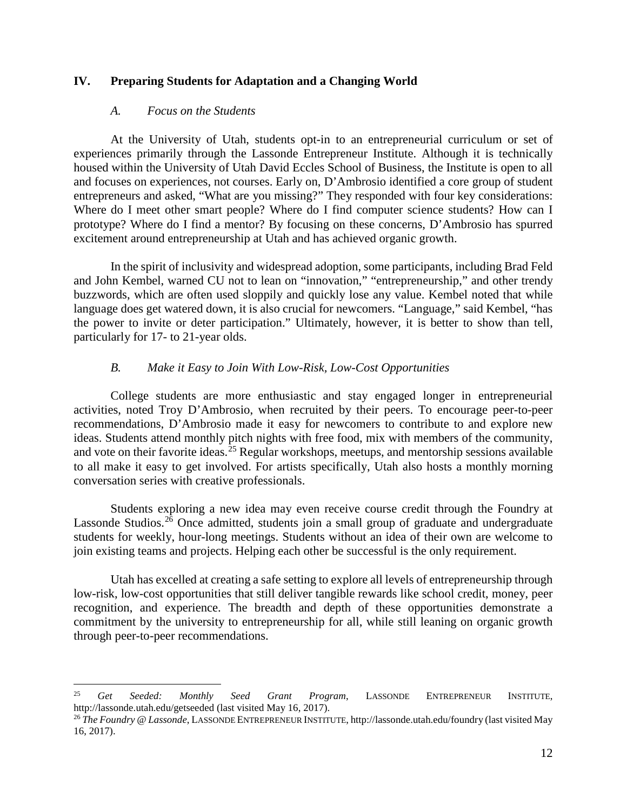### <span id="page-12-1"></span><span id="page-12-0"></span>**IV. Preparing Students for Adaptation and a Changing World**

#### *A. Focus on the Students*

At the University of Utah, students opt-in to an entrepreneurial curriculum or set of experiences primarily through the Lassonde Entrepreneur Institute. Although it is technically housed within the University of Utah David Eccles School of Business, the Institute is open to all and focuses on experiences, not courses. Early on, D'Ambrosio identified a core group of student entrepreneurs and asked, "What are you missing?" They responded with four key considerations: Where do I meet other smart people? Where do I find computer science students? How can I prototype? Where do I find a mentor? By focusing on these concerns, D'Ambrosio has spurred excitement around entrepreneurship at Utah and has achieved organic growth.

In the spirit of inclusivity and widespread adoption, some participants, including Brad Feld and John Kembel, warned CU not to lean on "innovation," "entrepreneurship," and other trendy buzzwords, which are often used sloppily and quickly lose any value. Kembel noted that while language does get watered down, it is also crucial for newcomers. "Language," said Kembel, "has the power to invite or deter participation." Ultimately, however, it is better to show than tell, particularly for 17- to 21-year olds.

#### *B. Make it Easy to Join With Low-Risk, Low-Cost Opportunities*

<span id="page-12-2"></span>College students are more enthusiastic and stay engaged longer in entrepreneurial activities, noted Troy D'Ambrosio, when recruited by their peers. To encourage peer-to-peer recommendations, D'Ambrosio made it easy for newcomers to contribute to and explore new ideas. Students attend monthly pitch nights with free food, mix with members of the community, and vote on their favorite ideas.<sup>[25](#page-12-3)</sup> Regular workshops, meetups, and mentorship sessions available to all make it easy to get involved. For artists specifically, Utah also hosts a monthly morning conversation series with creative professionals.

Students exploring a new idea may even receive course credit through the Foundry at Lassonde Studios.<sup>[26](#page-12-4)</sup> Once admitted, students join a small group of graduate and undergraduate students for weekly, hour-long meetings. Students without an idea of their own are welcome to join existing teams and projects. Helping each other be successful is the only requirement.

Utah has excelled at creating a safe setting to explore all levels of entrepreneurship through low-risk, low-cost opportunities that still deliver tangible rewards like school credit, money, peer recognition, and experience. The breadth and depth of these opportunities demonstrate a commitment by the university to entrepreneurship for all, while still leaning on organic growth through peer-to-peer recommendations.

<span id="page-12-3"></span> <sup>25</sup> *Get Seeded: Monthly Seed Grant Program*, LASSONDE ENTREPRENEUR INSTITUTE, http://lassonde.utah.edu/getseeded (last visited May 16, 2017).

<span id="page-12-4"></span><sup>26</sup> *The Foundry @ Lassonde*, LASSONDE ENTREPRENEUR INSTITUTE, http://lassonde.utah.edu/foundry (last visited May 16, 2017).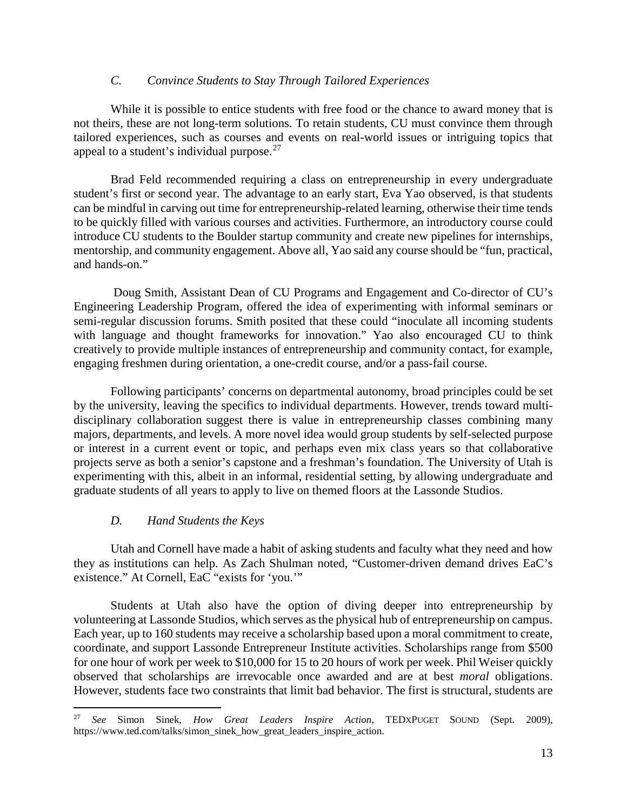#### *C. Convince Students to Stay Through Tailored Experiences*

<span id="page-13-0"></span>While it is possible to entice students with free food or the chance to award money that is not theirs, these are not long-term solutions. To retain students, CU must convince them through tailored experiences, such as courses and events on real-world issues or intriguing topics that appeal to a student's individual purpose. $27$ 

Brad Feld recommended requiring a class on entrepreneurship in every undergraduate student's first or second year. The advantage to an early start, Eva Yao observed, is that students can be mindful in carving out time for entrepreneurship-related learning, otherwise their time tends to be quickly filled with various courses and activities. Furthermore, an introductory course could introduce CU students to the Boulder startup community and create new pipelines for internships, mentorship, and community engagement. Above all, Yao said any course should be "fun, practical, and hands-on."

Doug Smith, Assistant Dean of CU Programs and Engagement and Co-director of CU's Engineering Leadership Program, offered the idea of experimenting with informal seminars or semi-regular discussion forums. Smith posited that these could "inoculate all incoming students with language and thought frameworks for innovation." Yao also encouraged CU to think creatively to provide multiple instances of entrepreneurship and community contact, for example, engaging freshmen during orientation, a one-credit course, and/or a pass-fail course.

Following participants' concerns on departmental autonomy, broad principles could be set by the university, leaving the specifics to individual departments. However, trends toward multidisciplinary collaboration suggest there is value in entrepreneurship classes combining many majors, departments, and levels. A more novel idea would group students by self-selected purpose or interest in a current event or topic, and perhaps even mix class years so that collaborative projects serve as both a senior's capstone and a freshman's foundation. The University of Utah is experimenting with this, albeit in an informal, residential setting, by allowing undergraduate and graduate students of all years to apply to live on themed floors at the Lassonde Studios.

# *D. Hand Students the Keys*

<span id="page-13-1"></span>Utah and Cornell have made a habit of asking students and faculty what they need and how they as institutions can help. As Zach Shulman noted, "Customer-driven demand drives EaC's existence." At Cornell, EaC "exists for 'you.'"

Students at Utah also have the option of diving deeper into entrepreneurship by volunteering at Lassonde Studios, which serves as the physical hub of entrepreneurship on campus. Each year, up to 160 students may receive a scholarship based upon a moral commitment to create, coordinate, and support Lassonde Entrepreneur Institute activities. Scholarships range from \$500 for one hour of work per week to \$10,000 for 15 to 20 hours of work per week. Phil Weiser quickly observed that scholarships are irrevocable once awarded and are at best *moral* obligations. However, students face two constraints that limit bad behavior. The first is structural, students are

<span id="page-13-2"></span> <sup>27</sup> *See* Simon Sinek, *How Great Leaders Inspire Action*, TEDXPUGET SOUND (Sept. 2009), https://www.ted.com/talks/simon\_sinek\_how\_great\_leaders\_inspire\_action.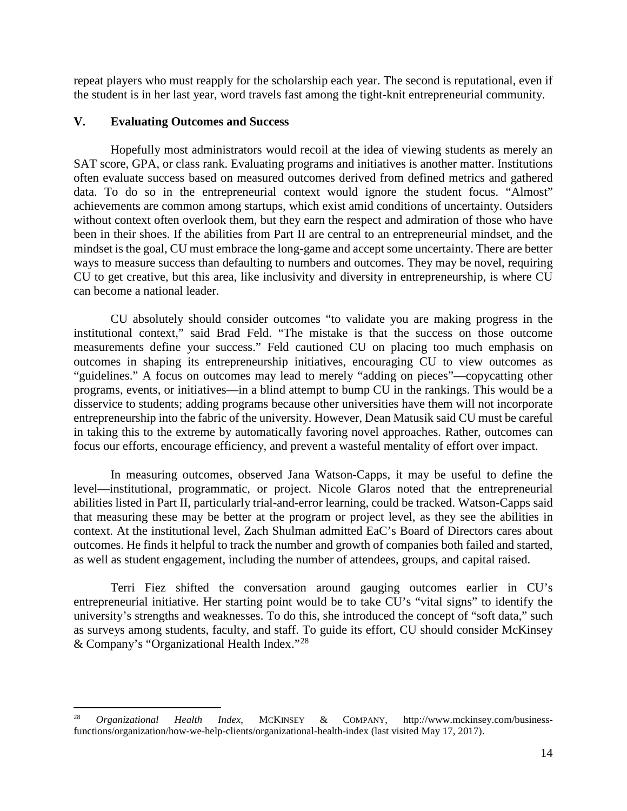repeat players who must reapply for the scholarship each year. The second is reputational, even if the student is in her last year, word travels fast among the tight-knit entrepreneurial community.

### <span id="page-14-0"></span>**V. Evaluating Outcomes and Success**

Hopefully most administrators would recoil at the idea of viewing students as merely an SAT score, GPA, or class rank. Evaluating programs and initiatives is another matter. Institutions often evaluate success based on measured outcomes derived from defined metrics and gathered data. To do so in the entrepreneurial context would ignore the student focus. "Almost" achievements are common among startups, which exist amid conditions of uncertainty. Outsiders without context often overlook them, but they earn the respect and admiration of those who have been in their shoes. If the abilities from Part II are central to an entrepreneurial mindset, and the mindset is the goal, CU must embrace the long-game and accept some uncertainty. There are better ways to measure success than defaulting to numbers and outcomes. They may be novel, requiring CU to get creative, but this area, like inclusivity and diversity in entrepreneurship, is where CU can become a national leader.

CU absolutely should consider outcomes "to validate you are making progress in the institutional context," said Brad Feld. "The mistake is that the success on those outcome measurements define your success." Feld cautioned CU on placing too much emphasis on outcomes in shaping its entrepreneurship initiatives, encouraging CU to view outcomes as "guidelines." A focus on outcomes may lead to merely "adding on pieces"—copycatting other programs, events, or initiatives—in a blind attempt to bump CU in the rankings. This would be a disservice to students; adding programs because other universities have them will not incorporate entrepreneurship into the fabric of the university. However, Dean Matusik said CU must be careful in taking this to the extreme by automatically favoring novel approaches. Rather, outcomes can focus our efforts, encourage efficiency, and prevent a wasteful mentality of effort over impact.

In measuring outcomes, observed Jana Watson-Capps, it may be useful to define the level—institutional, programmatic, or project. Nicole Glaros noted that the entrepreneurial abilities listed in Part II, particularly trial-and-error learning, could be tracked. Watson-Capps said that measuring these may be better at the program or project level, as they see the abilities in context. At the institutional level, Zach Shulman admitted EaC's Board of Directors cares about outcomes. He finds it helpful to track the number and growth of companies both failed and started, as well as student engagement, including the number of attendees, groups, and capital raised.

Terri Fiez shifted the conversation around gauging outcomes earlier in CU's entrepreneurial initiative. Her starting point would be to take CU's "vital signs" to identify the university's strengths and weaknesses. To do this, she introduced the concept of "soft data," such as surveys among students, faculty, and staff. To guide its effort, CU should consider McKinsey & Company's "Organizational Health Index."[28](#page-14-1)

<span id="page-14-1"></span> <sup>28</sup> *Organizational Health Index*, MCKINSEY & COMPANY, http://www.mckinsey.com/businessfunctions/organization/how-we-help-clients/organizational-health-index (last visited May 17, 2017).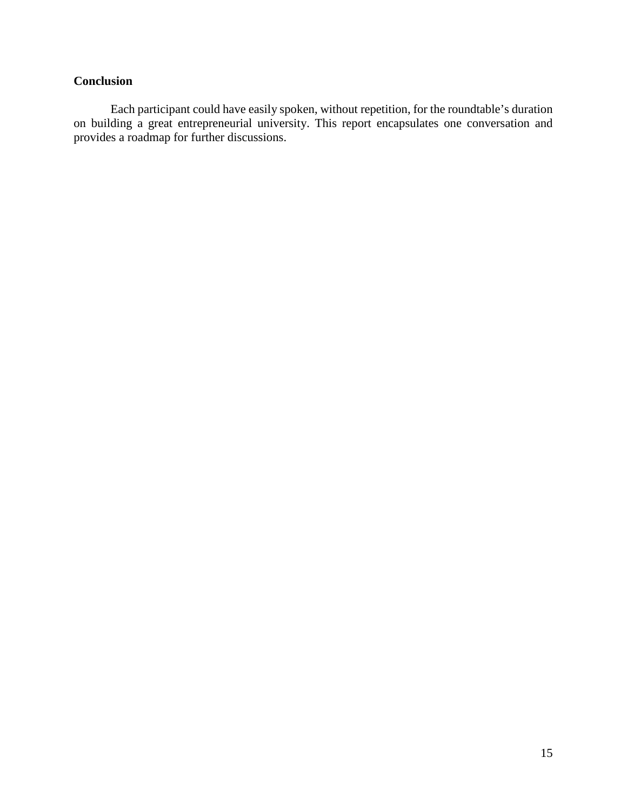# <span id="page-15-0"></span>**Conclusion**

Each participant could have easily spoken, without repetition, for the roundtable's duration on building a great entrepreneurial university. This report encapsulates one conversation and provides a roadmap for further discussions.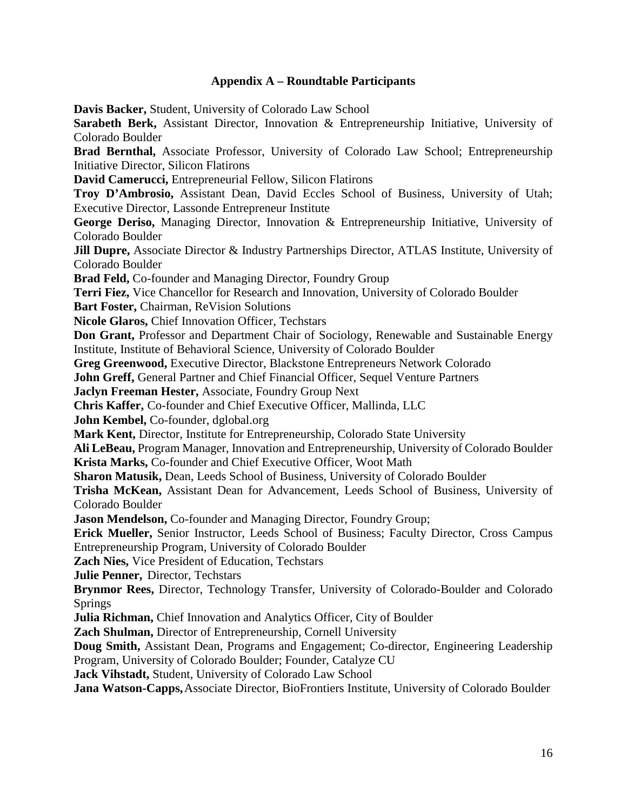## **Appendix A – Roundtable Participants**

<span id="page-16-0"></span>**Davis Backer,** Student, University of Colorado Law School

**Sarabeth Berk,** Assistant Director, Innovation & Entrepreneurship Initiative, University of Colorado Boulder

**Brad Bernthal,** Associate Professor, University of Colorado Law School; Entrepreneurship Initiative Director, Silicon Flatirons

**David Camerucci,** Entrepreneurial Fellow, Silicon Flatirons

**Troy D'Ambrosio,** Assistant Dean, David Eccles School of Business, University of Utah; Executive Director, Lassonde Entrepreneur Institute

**George Deriso,** Managing Director, Innovation & Entrepreneurship Initiative, University of Colorado Boulder

**Jill Dupre,** Associate Director & Industry Partnerships Director, ATLAS Institute, University of Colorado Boulder

**Brad Feld,** Co-founder and Managing Director, Foundry Group

**Terri Fiez,** Vice Chancellor for Research and Innovation, University of Colorado Boulder

**Bart Foster,** Chairman, ReVision Solutions

**Nicole Glaros,** Chief Innovation Officer, Techstars

**Don Grant,** Professor and Department Chair of Sociology, Renewable and Sustainable Energy Institute, Institute of Behavioral Science, University of Colorado Boulder

**Greg Greenwood,** Executive Director, Blackstone Entrepreneurs Network Colorado

**John Greff,** General Partner and Chief Financial Officer, Sequel Venture Partners

**Jaclyn Freeman Hester,** Associate, Foundry Group Next

**Chris Kaffer,** Co-founder and Chief Executive Officer, Mallinda, LLC

**John Kembel,** Co-founder, dglobal.org

**Mark Kent,** Director, Institute for Entrepreneurship, Colorado State University

**Ali LeBeau,** Program Manager, Innovation and Entrepreneurship, University of Colorado Boulder **Krista Marks,** Co-founder and Chief Executive Officer, Woot Math

**Sharon Matusik,** Dean, Leeds School of Business, University of Colorado Boulder

**Trisha McKean,** Assistant Dean for Advancement, Leeds School of Business, University of Colorado Boulder

**Jason Mendelson,** Co-founder and Managing Director, Foundry Group;

**Erick Mueller,** Senior Instructor, Leeds School of Business; Faculty Director, Cross Campus Entrepreneurship Program, University of Colorado Boulder

**Zach Nies,** Vice President of Education, Techstars

**Julie Penner,** Director, Techstars

**Brynmor Rees,** Director, Technology Transfer, University of Colorado-Boulder and Colorado Springs

**Julia Richman,** Chief Innovation and Analytics Officer, City of Boulder

**Zach Shulman,** Director of Entrepreneurship, Cornell University

**Doug Smith,** Assistant Dean, Programs and Engagement; Co-director, Engineering Leadership Program, University of Colorado Boulder; Founder, Catalyze CU

**Jack Vihstadt,** Student, University of Colorado Law School

**Jana Watson-Capps,**Associate Director, BioFrontiers Institute, University of Colorado Boulder